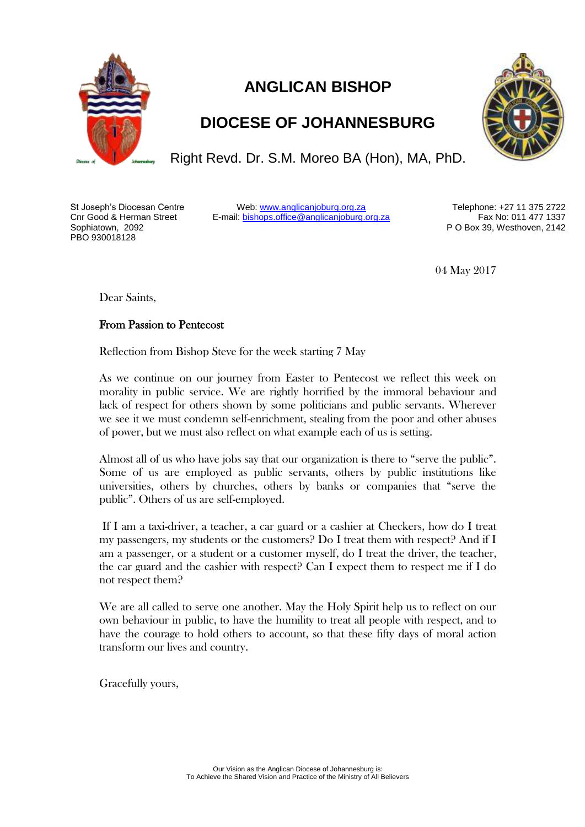

## **ANGLICAN BISHOP**

## **DIOCESE OF JOHANNESBURG**

Right Revd. Dr. S.M. Moreo BA (Hon), MA, PhD.

St Joseph's Diocesan Centre Cnr Good & Herman Street Sophiatown, 2092 PBO 930018128

Web[: www.anglicanjoburg.org.za](http://www.anglicanjoburg.org.za/) E-mail: [bishops.office@anglicanjoburg.org.za](mailto:bishops.office@anglicanjoburg.org.za)

Telephone: +27 11 375 2722 Fax No: 011 477 1337 P O Box 39, Westhoven, 2142

04 May 2017

Dear Saints,

## From Passion to Pentecost

Reflection from Bishop Steve for the week starting 7 May

As we continue on our journey from Easter to Pentecost we reflect this week on morality in public service. We are rightly horrified by the immoral behaviour and lack of respect for others shown by some politicians and public servants. Wherever we see it we must condemn self-enrichment, stealing from the poor and other abuses of power, but we must also reflect on what example each of us is setting.

Almost all of us who have jobs say that our organization is there to "serve the public". Some of us are employed as public servants, others by public institutions like universities, others by churches, others by banks or companies that "serve the public". Others of us are self-employed.

If I am a taxi-driver, a teacher, a car guard or a cashier at Checkers, how do I treat my passengers, my students or the customers? Do I treat them with respect? And if I am a passenger, or a student or a customer myself, do I treat the driver, the teacher, the car guard and the cashier with respect? Can I expect them to respect me if I do not respect them?

We are all called to serve one another. May the Holy Spirit help us to reflect on our own behaviour in public, to have the humility to treat all people with respect, and to have the courage to hold others to account, so that these fifty days of moral action transform our lives and country.

Gracefully yours,